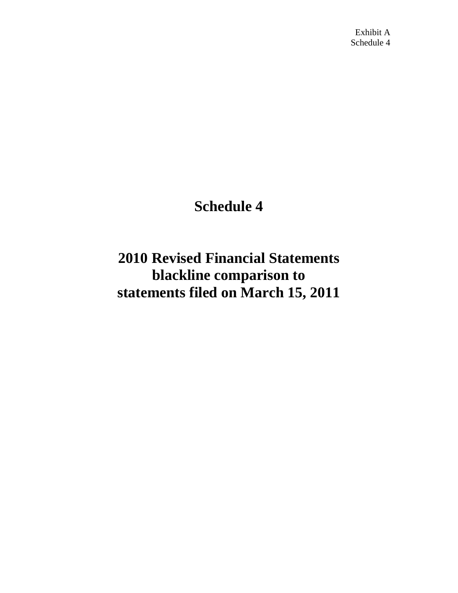# **Schedule 4**

**2010 Revised Financial Statements blackline comparison to statements filed on March 15, 2011**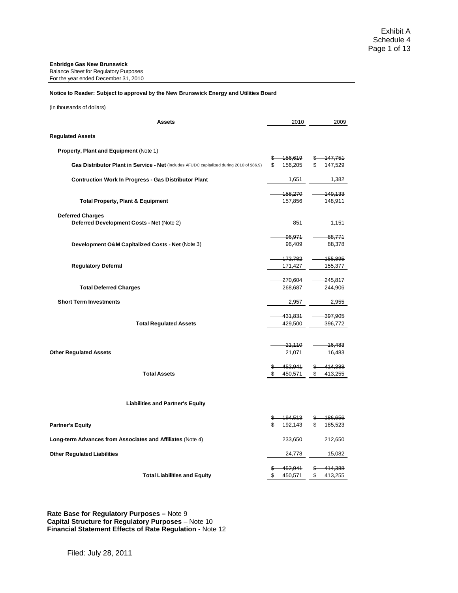#### **Enbridge Gas New Brunswick**

Balance Sheet for Regulatory Purposes For the year ended December 31, 2010

#### **Notice to Reader: Subject to approval by the New Brunswick Energy and Utilities Board**

(in thousands of dollars)

| <b>Assets</b>                                                                             | 2010             | 2009             |
|-------------------------------------------------------------------------------------------|------------------|------------------|
| <b>Regulated Assets</b>                                                                   |                  |                  |
| Property, Plant and Equipment (Note 1)                                                    |                  |                  |
|                                                                                           | \$<br>-156,619   | \$<br>147,751    |
| Gas Distributor Plant in Service - Net (includes AFUDC capitalized during 2010 of \$86.9) | \$<br>156,205    | \$<br>147,529    |
| <b>Contruction Work In Progress - Gas Distributor Plant</b>                               | 1,651            | 1,382            |
|                                                                                           | 158,270          | 149,133          |
| <b>Total Property, Plant &amp; Equipment</b>                                              | 157,856          | 148,911          |
| <b>Deferred Charges</b>                                                                   |                  |                  |
| Deferred Development Costs - Net (Note 2)                                                 | 851              | 1,151            |
|                                                                                           | 96,971           | 88,771           |
| Development O&M Capitalized Costs - Net (Note 3)                                          | 96,409           | 88,378           |
|                                                                                           | 172,782          | 155,895          |
| <b>Regulatory Deferral</b>                                                                | 171,427          | 155,377          |
|                                                                                           | 270,604          | 245,817          |
| <b>Total Deferred Charges</b>                                                             | 268,687          | 244,906          |
| <b>Short Term Investments</b>                                                             | 2,957            | 2,955            |
|                                                                                           | 431,831          | 397,905          |
| <b>Total Regulated Assets</b>                                                             | 429,500          | 396,772          |
|                                                                                           |                  |                  |
| <b>Other Regulated Assets</b>                                                             | 21,110<br>21,071 | 16,483<br>16,483 |
|                                                                                           |                  |                  |
|                                                                                           | 452,941<br>\$    | 414,388<br>\$    |
| <b>Total Assets</b>                                                                       | \$<br>450,571    | \$<br>413,255    |
|                                                                                           |                  |                  |
| <b>Liabilities and Partner's Equity</b>                                                   |                  |                  |
|                                                                                           | -194,513<br>\$   | 186,656<br>\$    |
| <b>Partner's Equity</b>                                                                   | \$<br>192,143    | \$<br>185,523    |
| Long-term Advances from Associates and Affiliates (Note 4)                                | 233,650          | 212,650          |
| <b>Other Regulated Liabilities</b>                                                        | 24,778           | 15,082           |
|                                                                                           | \$<br>452,941    | \$<br>414,388    |
| <b>Total Liabilities and Equity</b>                                                       | \$<br>450,571    | \$<br>413,255    |

**Rate Base for Regulatory Purposes –** Note 9 **Capital Structure for Regulatory Purposes** – Note 10 **Financial Statement Effects of Rate Regulation -** Note 12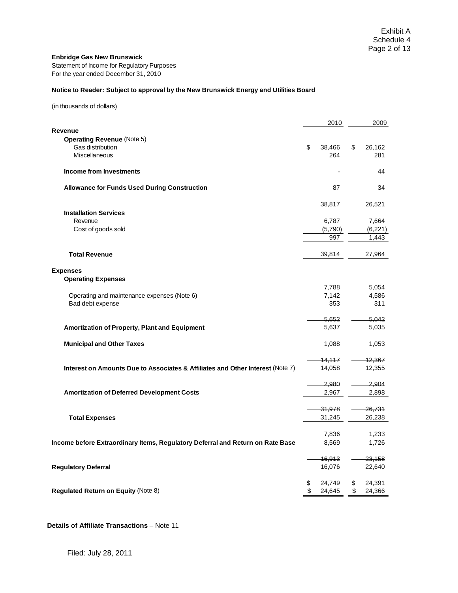#### **Notice to Reader: Subject to approval by the New Brunswick Energy and Utilities Board**

(in thousands of dollars)

|                                                                                | 2010             | 2009              |
|--------------------------------------------------------------------------------|------------------|-------------------|
| Revenue                                                                        |                  |                   |
| <b>Operating Revenue (Note 5)</b>                                              |                  |                   |
| Gas distribution                                                               | \$<br>38,466     | \$<br>26,162      |
| <b>Miscellaneous</b>                                                           | 264              | 281               |
| Income from Investments                                                        |                  | 44                |
| <b>Allowance for Funds Used During Construction</b>                            | 87               | 34                |
|                                                                                | 38,817           | 26,521            |
| <b>Installation Services</b>                                                   |                  |                   |
| Revenue                                                                        | 6,787            | 7,664             |
| Cost of goods sold                                                             | (5,790)          | (6, 221)          |
|                                                                                | 997              | 1,443             |
| <b>Total Revenue</b>                                                           | 39,814           | 27,964            |
| <b>Expenses</b>                                                                |                  |                   |
| <b>Operating Expenses</b>                                                      |                  |                   |
|                                                                                | 7,788            | 5,054             |
| Operating and maintenance expenses (Note 6)                                    | 7,142            | 4,586             |
| Bad debt expense                                                               | 353              | 311               |
|                                                                                | <del>5.652</del> | 5,042             |
| Amortization of Property, Plant and Equipment                                  | 5,637            | 5,035             |
| <b>Municipal and Other Taxes</b>                                               | 1,088            | 1,053             |
|                                                                                | 14.117           | 12,367            |
| Interest on Amounts Due to Associates & Affiliates and Other Interest (Note 7) | 14,058           | 12,355            |
|                                                                                |                  |                   |
|                                                                                | 2.980            | 2.904             |
| <b>Amortization of Deferred Development Costs</b>                              | 2,967            | 2,898             |
|                                                                                | 31,978           | 26,731            |
| <b>Total Expenses</b>                                                          | 31,245           | 26,238            |
|                                                                                |                  |                   |
|                                                                                | 7,836            | 1.233             |
| Income before Extraordinary Items, Regulatory Deferral and Return on Rate Base | 8,569            | 1,726             |
|                                                                                | 16,913           | 23,158            |
| <b>Regulatory Deferral</b>                                                     | 16,076           | 22,640            |
|                                                                                | 24,749           | <del>24,391</del> |
| Regulated Return on Equity (Note 8)                                            | \$<br>24,645     | \$<br>24,366      |
|                                                                                |                  |                   |

**Details of Affiliate Transactions** – Note 11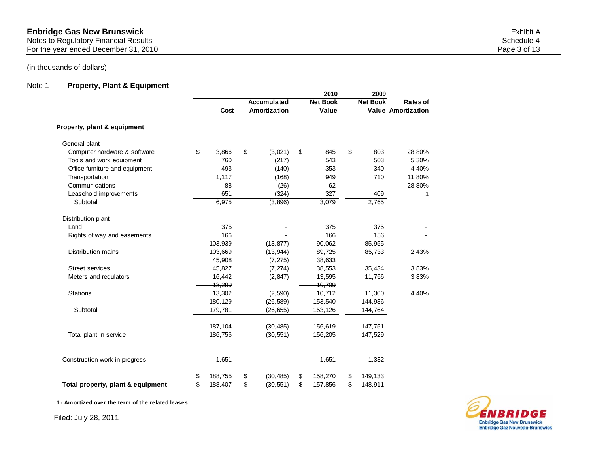#### Notes to Regulatory Financial Results Schedule 4 and Schedule 4 and Schedule 4 and Schedule 4 and Schedule 4 and Schedule 4 and Schedule 4 and Schedule 4 and Schedule 4 and Schedule 4 and Schedule 4 and Schedule 4 and Sche

For the year ended December 31, 2010 **Page 3 of 13** 

# (in thousands of dollars)

## Note 1 **Property, Plant & Equipment**

|                                   |               |                         |              | 2010            | 2009            |                           |
|-----------------------------------|---------------|-------------------------|--------------|-----------------|-----------------|---------------------------|
|                                   |               |                         | Accumulated  | <b>Net Book</b> | <b>Net Book</b> | Rates of                  |
|                                   | Cost          |                         | Amortization | Value           |                 | <b>Value Amortization</b> |
| Property, plant & equipment       |               |                         |              |                 |                 |                           |
| General plant                     |               |                         |              |                 |                 |                           |
| Computer hardware & software      | \$<br>3,866   | $\sqrt[6]{\frac{1}{2}}$ | (3,021)      | \$<br>845       | \$<br>803       | 28.80%                    |
| Tools and work equipment          | 760           |                         | (217)        | 543             | 503             | 5.30%                     |
| Office furniture and equipment    | 493           |                         | (140)        | 353             | 340             | 4.40%                     |
| Transportation                    | 1,117         |                         | (168)        | 949             | 710             | 11.80%                    |
| Communications                    | 88            |                         | (26)         | 62              |                 | 28.80%                    |
| Leasehold improvements            | 651           |                         | (324)        | 327             | 409             | 1                         |
| Subtotal                          | 6,975         |                         | (3,896)      | 3,079           | 2,765           |                           |
| Distribution plant                |               |                         |              |                 |                 |                           |
| Land                              | 375           |                         |              | 375             | 375             |                           |
| Rights of way and easements       | 166           |                         |              | 166             | 156             |                           |
|                                   | 103.939       |                         | (13.877)     | 90.062          | 85.955          |                           |
| <b>Distribution mains</b>         | 103,669       |                         | (13, 944)    | 89,725          | 85,733          | 2.43%                     |
|                                   | 45,908        |                         | (7, 275)     | 38,633          |                 |                           |
| <b>Street services</b>            | 45,827        |                         | (7, 274)     | 38,553          | 35,434          | 3.83%                     |
| Meters and regulators             | 16,442        |                         | (2, 847)     | 13,595          | 11,766          | 3.83%                     |
|                                   | 13.299        |                         |              | 10,709          |                 |                           |
| <b>Stations</b>                   | 13,302        |                         | (2,590)      | 10,712          | 11,300          | 4.40%                     |
|                                   | 180,129       |                         | (26, 589)    | 153,540         | 144,986         |                           |
| Subtotal                          | 179,781       |                         | (26, 655)    | 153,126         | 144,764         |                           |
|                                   | 187,104       |                         | (30, 485)    | 156,619         | 147,751         |                           |
| Total plant in service            | 186,756       |                         | (30, 551)    | 156,205         | 147,529         |                           |
| Construction work in progress     | 1,651         |                         |              | 1,651           | 1,382           |                           |
|                                   |               |                         |              |                 |                 |                           |
|                                   | 188,755       |                         | (30, 485)    | 158,270         | 149,133         |                           |
| Total property, plant & equipment | \$<br>188,407 | \$                      | (30, 551)    | \$<br>157,856   | \$<br>148,911   |                           |

**1 - Amortized over the term of the related leases.**

Filed: July 28, 2011

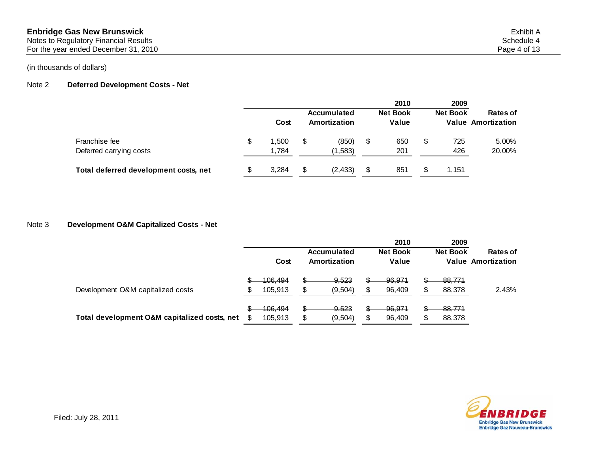Notes to Regulatory Financial Results Schedule 4 and Schedule 4 and Schedule 4 and Schedule 4 and Schedule 4 and Schedule 4 and Schedule 4 and Schedule 4 and Schedule 4 and Schedule 4 and Schedule 4 and Schedule 4 and Sche

For the year ended December 31, 2010 **Page 4 of 13** 

## (in thousands of dollars)

## Note 2 **Deferred Development Costs - Net**

|                                          | Cost                 |   | Accumulated<br>Amortization |    | 2010<br><b>Net Book</b><br>Value |   | 2009<br><b>Net Book</b> | Rates of<br><b>Value Amortization</b> |
|------------------------------------------|----------------------|---|-----------------------------|----|----------------------------------|---|-------------------------|---------------------------------------|
| Franchise fee<br>Deferred carrying costs | \$<br>1.500<br>1.784 |   | (850)<br>(1,583)            | \$ | 650<br>201                       | S | 725<br>426              | 5.00%<br>20.00%                       |
| Total deferred development costs, net    | 3.284                | S | (2, 433)                    | S  | 851                              |   | 1,151                   |                                       |

## Note 3 **Development O&M Capitalized Costs - Net**

|                                              |                                     |    |                              | 2010                     | 2009             |                                       |
|----------------------------------------------|-------------------------------------|----|------------------------------|--------------------------|------------------|---------------------------------------|
|                                              | Cost                                |    | Accumulated<br>Amortization  | <b>Net Book</b><br>Value | <b>Net Book</b>  | Rates of<br><b>Value Amortization</b> |
| Development O&M capitalized costs            | <u> 106.494</u><br>105,913          | S  | <del>9,523</del><br>(9, 504) | \$<br>96,971<br>96,409   | 88,771<br>88,378 | 2.43%                                 |
| Total development O&M capitalized costs, net | \$<br><del>106,494</del><br>105,913 | \$ | $-9,523$<br>(9,504)          | \$<br>-96,971<br>96,409  | 88,774<br>88,378 |                                       |

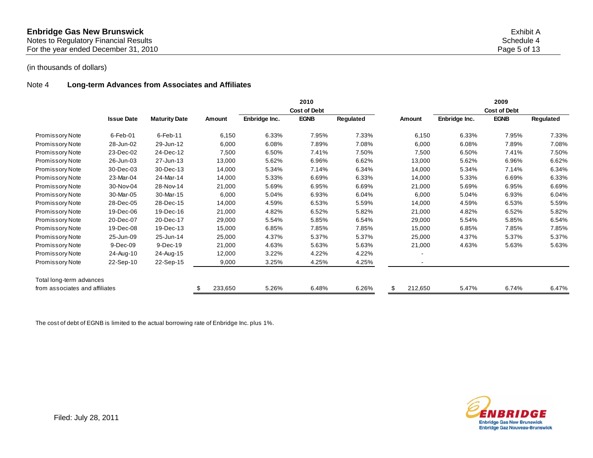| <b>Enbridge Gas New Brunswick</b>     | Exhibit A    |
|---------------------------------------|--------------|
| Notes to Regulatory Financial Results | Schedule 4   |
| For the vear ended December 31, 2010  | Page 5 of 13 |

## Note 4 **Long-term Advances from Associates and Affiliates**

|                                |                   |                      |               |               | 2010<br><b>Cost of Debt</b> |           |                          |               | 2009<br><b>Cost of Debt</b> |           |
|--------------------------------|-------------------|----------------------|---------------|---------------|-----------------------------|-----------|--------------------------|---------------|-----------------------------|-----------|
|                                | <b>Issue Date</b> | <b>Maturity Date</b> | <b>Amount</b> | Enbridge Inc. | <b>EGNB</b>                 | Regulated | Amount                   | Enbridge Inc. | <b>EGNB</b>                 | Regulated |
| Promissory Note                | $6$ -Feb-01       | 6-Feb-11             | 6,150         | 6.33%         | 7.95%                       | 7.33%     | 6,150                    | 6.33%         | 7.95%                       | 7.33%     |
| Promissory Note                | 28-Jun-02         | 29-Jun-12            | 6,000         | 6.08%         | 7.89%                       | 7.08%     | 6,000                    | 6.08%         | 7.89%                       | 7.08%     |
| Promissory Note                | 23-Dec-02         | 24-Dec-12            | 7,500         | 6.50%         | 7.41%                       | 7.50%     | 7,500                    | 6.50%         | 7.41%                       | 7.50%     |
| Promissory Note                | 26-Jun-03         | 27-Jun-13            | 13,000        | 5.62%         | 6.96%                       | 6.62%     | 13,000                   | 5.62%         | 6.96%                       | 6.62%     |
| Promissory Note                | 30-Dec-03         | 30-Dec-13            | 14,000        | 5.34%         | 7.14%                       | 6.34%     | 14,000                   | 5.34%         | 7.14%                       | 6.34%     |
| Promissory Note                | 23-Mar-04         | 24-Mar-14            | 14,000        | 5.33%         | 6.69%                       | 6.33%     | 14,000                   | 5.33%         | 6.69%                       | 6.33%     |
| Promissory Note                | 30-Nov-04         | 28-Nov-14            | 21,000        | 5.69%         | 6.95%                       | 6.69%     | 21,000                   | 5.69%         | 6.95%                       | 6.69%     |
| Promissory Note                | 30-Mar-05         | 30-Mar-15            | 6,000         | 5.04%         | 6.93%                       | 6.04%     | 6,000                    | 5.04%         | 6.93%                       | 6.04%     |
| Promissory Note                | 28-Dec-05         | 28-Dec-15            | 14,000        | 4.59%         | 6.53%                       | 5.59%     | 14,000                   | 4.59%         | 6.53%                       | 5.59%     |
| Promissory Note                | 19-Dec-06         | 19-Dec-16            | 21,000        | 4.82%         | 6.52%                       | 5.82%     | 21,000                   | 4.82%         | 6.52%                       | 5.82%     |
| Promissory Note                | 20-Dec-07         | 20-Dec-17            | 29,000        | 5.54%         | 5.85%                       | 6.54%     | 29,000                   | 5.54%         | 5.85%                       | 6.54%     |
| Promissory Note                | 19-Dec-08         | 19-Dec-13            | 15,000        | 6.85%         | 7.85%                       | 7.85%     | 15,000                   | 6.85%         | 7.85%                       | 7.85%     |
| Promissory Note                | 25-Jun-09         | 25-Jun-14            | 25,000        | 4.37%         | 5.37%                       | 5.37%     | 25,000                   | 4.37%         | 5.37%                       | 5.37%     |
| Promissory Note                | 9-Dec-09          | 9-Dec-19             | 21,000        | 4.63%         | 5.63%                       | 5.63%     | 21,000                   | 4.63%         | 5.63%                       | 5.63%     |
| Promissory Note                | 24-Aug-10         | 24-Aug-15            | 12,000        | 3.22%         | 4.22%                       | 4.22%     | $\overline{\phantom{a}}$ |               |                             |           |
| Promissory Note                | 22-Sep-10         | 22-Sep-15            | 9,000         | 3.25%         | 4.25%                       | 4.25%     | $\blacksquare$           |               |                             |           |
| Total long-term advances       |                   |                      |               |               |                             |           |                          |               |                             |           |
| from associates and affiliates |                   |                      | 233,650       | 5.26%         | 6.48%                       | 6.26%     | 212,650                  | 5.47%         | 6.74%                       | 6.47%     |

The cost of debt of EGNB is limited to the actual borrowing rate of Enbridge Inc. plus 1%.

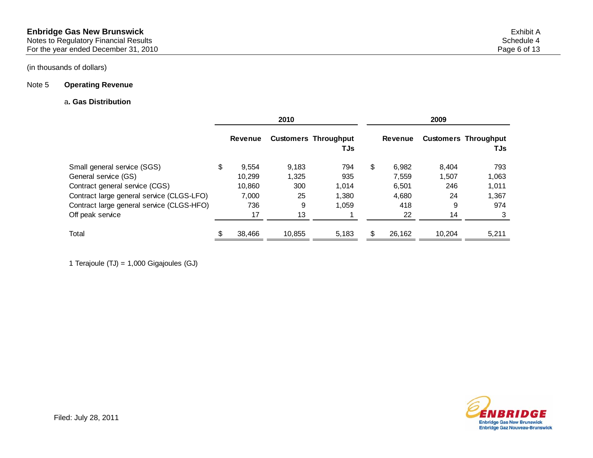## Note 5 **Operating Revenue**

## a**. Gas Distribution**

|                                           |                | 2010   |                                    |                | 2009   |                                    |  |  |
|-------------------------------------------|----------------|--------|------------------------------------|----------------|--------|------------------------------------|--|--|
|                                           | <b>Revenue</b> |        | <b>Customers Throughput</b><br>TJs | <b>Revenue</b> |        | <b>Customers Throughput</b><br>TJs |  |  |
| Small general service (SGS)               | \$<br>9,554    | 9,183  | 794                                | \$<br>6,982    | 8,404  | 793                                |  |  |
| General service (GS)                      | 10.299         | 1,325  | 935                                | 7.559          | 1.507  | 1,063                              |  |  |
| Contract general service (CGS)            | 10.860         | 300    | 1,014                              | 6.501          | 246    | 1,011                              |  |  |
| Contract large general service (CLGS-LFO) | 7,000          | 25     | 1,380                              | 4.680          | 24     | 1,367                              |  |  |
| Contract large general service (CLGS-HFO) | 736            | 9      | 1,059                              | 418            | 9      | 974                                |  |  |
| Off peak service                          | 17             | 13     |                                    | 22             | 14     |                                    |  |  |
| Total                                     | 38,466         | 10.855 | 5,183                              | 26,162         | 10.204 | 5,211                              |  |  |

1 Terajoule (TJ) = 1,000 Gigajoules (GJ)

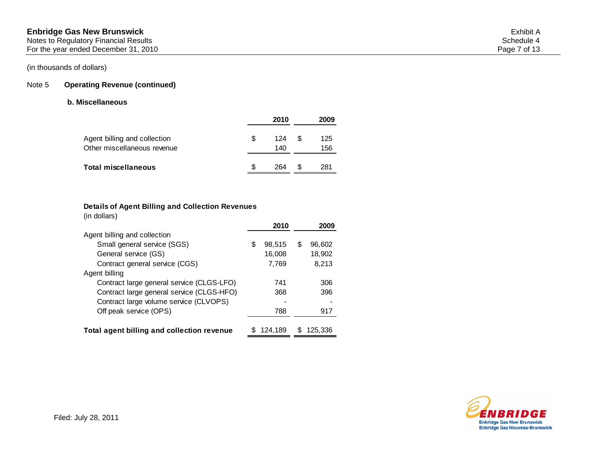## Note 5 **Operating Revenue (continued)**

## **b. Miscellaneous**

|                                                             |   | 2010       |   | 2009       |
|-------------------------------------------------------------|---|------------|---|------------|
| Agent billing and collection<br>Other miscellaneous revenue | S | 124<br>140 | S | 125<br>156 |
| Total miscellaneous                                         |   | 264        |   | 281        |

### **Details of Agent Billing and Collection Revenues**

(in dollars)

|                                            | 2010         |   | 2009    |
|--------------------------------------------|--------------|---|---------|
| Agent billing and collection               |              |   |         |
| Small general service (SGS)                | \$<br>98,515 | S | 96,602  |
| General service (GS)                       | 16,008       |   | 18,902  |
| Contract general service (CGS)             | 7,769        |   | 8,213   |
| Agent billing                              |              |   |         |
| Contract large general service (CLGS-LFO)  | 741          |   | 306     |
| Contract large general service (CLGS-HFO)  | 368          |   | 396     |
| Contract large volume service (CLVOPS)     |              |   |         |
| Off peak service (OPS)                     | 788          |   | 917     |
|                                            |              |   |         |
| Total agent billing and collection revenue | 124.189      |   | 125.336 |

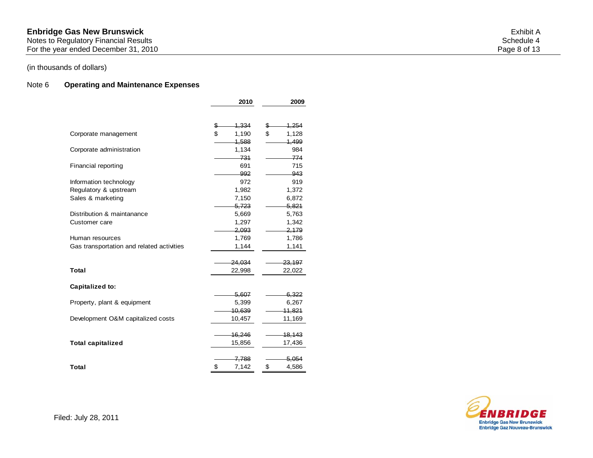Notes to Regulatory Financial Results Schedule 4 and Schedule 4 and Schedule 4 and Schedule 4 and Schedule 4 and Schedule 4 and Schedule 4 and Schedule 4 and Schedule 4 and Schedule 4 and Schedule 4 and Schedule 4 and Sche

For the year ended December 31, 2010 **Page 8 of 13** 

## (in thousands of dollars)

## Note 6 **Operating and Maintenance Expenses**

|                                           | 2010        | 2009              |
|-------------------------------------------|-------------|-------------------|
|                                           |             |                   |
|                                           | 1,334<br>\$ | 1,254<br>S        |
| Corporate management                      | \$<br>1,190 | \$<br>1,128       |
|                                           | 1,588       | 1.499             |
| Corporate administration                  | 1,134       | 984               |
|                                           | 731         | 774               |
| Financial reporting                       | 691         | 715               |
|                                           | 992         | $-943$            |
| Information technology                    | 972         | 919               |
| Regulatory & upstream                     | 1,982       | 1,372             |
| Sales & marketing                         | 7,150       | 6,872             |
|                                           | 5,723       | 5,821             |
| Distribution & maintanance                | 5,669       | 5,763             |
| Customer care                             | 1,297       | 1,342             |
|                                           | 2,093       | 2,179             |
| Human resources                           | 1,769       | 1,786             |
| Gas transportation and related activities | 1,144       | 1,141             |
|                                           |             |                   |
|                                           | 24,034      | <del>23,197</del> |
| <b>Total</b>                              | 22,998      | 22,022            |
|                                           |             |                   |
| Capitalized to:                           |             |                   |
|                                           | 5,607       | 6,322             |
| Property, plant & equipment               | 5,399       | 6,267             |
|                                           | 10,639      | 11,821            |
| Development O&M capitalized costs         | 10,457      | 11,169            |
|                                           | 16,246      | 18,143            |
| <b>Total capitalized</b>                  | 15,856      | 17,436            |
|                                           |             |                   |
|                                           | 7,788       | 5,054             |
| Total                                     | \$<br>7,142 | \$<br>4,586       |
|                                           |             |                   |

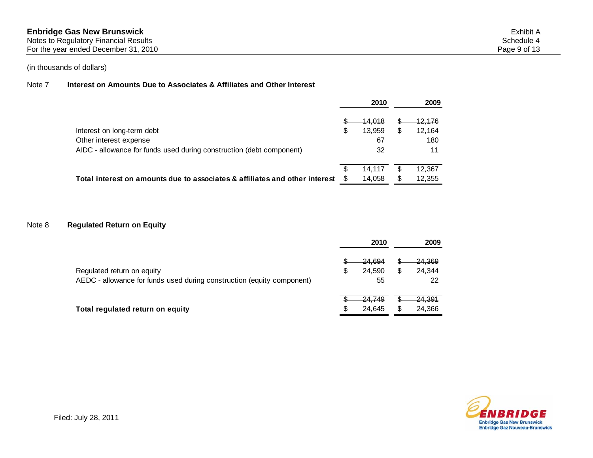#### Note 7 **Interest on Amounts Due to Associates & Affiliates and Other Interest**

|                                                                             | 2010           |    | 2009              |
|-----------------------------------------------------------------------------|----------------|----|-------------------|
|                                                                             | <u>44,018</u>  |    | <u> 12,176</u>    |
| Interest on long-term debt                                                  | \$<br>13.959   | \$ | 12.164            |
| Other interest expense                                                      | 67             |    | 180               |
| AIDC - allowance for funds used during construction (debt component)        | 32             |    | 11                |
|                                                                             | <u> 14.117</u> |    | <del>12,367</del> |
| Total interest on amounts due to associates & affiliates and other interest | 14.058         | S  | 12,355            |

## Note 8 **Regulated Return on Equity**

|                                                                        |     | 2010              | 2009              |  |  |
|------------------------------------------------------------------------|-----|-------------------|-------------------|--|--|
|                                                                        |     | <del>24.694</del> | <del>24,369</del> |  |  |
| Regulated return on equity                                             | S   | 24.590            | \$<br>24,344      |  |  |
| AEDC - allowance for funds used during construction (equity component) |     | 55                | 22                |  |  |
|                                                                        |     | <del>24.749</del> | <del>24,391</del> |  |  |
| Total regulated return on equity                                       | \$. | 24.645            | \$<br>24,366      |  |  |

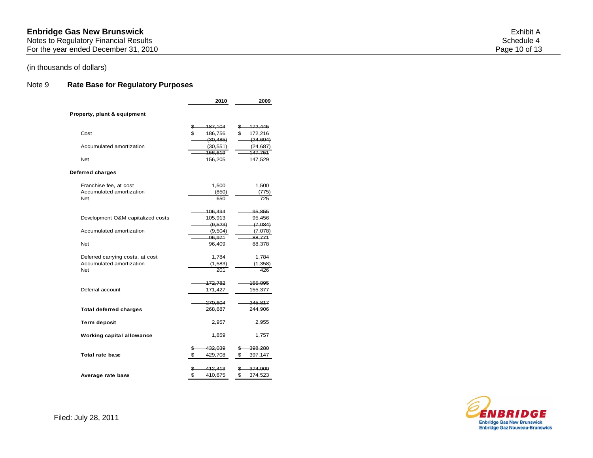Notes to Regulatory Financial Results Schedule 4 and Schedule 4 and Schedule 4 and Schedule 4 and Schedule 4 and Schedule 4 and Schedule 4 and Schedule 4 and Schedule 4 and Schedule 4 and Schedule 4 and Schedule 4 and Sche

For the year ended December 31, 2010 **Page 10** of 13

# (in thousands of dollars)

## Note 9 **Rate Base for Regulatory Purposes**

|                                                                            | 2010                                        | 2009                                        |
|----------------------------------------------------------------------------|---------------------------------------------|---------------------------------------------|
| Property, plant & equipment                                                |                                             |                                             |
| Cost                                                                       | 187,104<br>\$<br>\$<br>186,756<br>(30, 485) | 172,445<br>\$<br>\$<br>172,216<br>(24, 694) |
| Accumulated amortization                                                   | (30, 551)<br>156,619                        | (24, 687)<br>147,751                        |
| <b>Net</b>                                                                 | 156,205                                     | 147,529                                     |
| Deferred charges                                                           |                                             |                                             |
| Franchise fee, at cost<br>Accumulated amortization<br><b>Net</b>           | 1,500<br>(850)<br>650                       | 1,500<br>(775)<br>725                       |
| Development O&M capitalized costs                                          | 106,494<br>105,913<br>(9, 523)              | 95,855<br>95,456<br>(7,084)                 |
| Accumulated amortization                                                   | (9, 504)<br>96,971                          | (7,078)<br>88,771                           |
| <b>Net</b>                                                                 | 96,409                                      | 88,378                                      |
| Deferred carrying costs, at cost<br>Accumulated amortization<br><b>Net</b> | 1,784<br>(1,583)<br>201                     | 1,784<br>(1,358)<br>426                     |
| Deferral account                                                           | 172,782<br>171,427                          | 155,895<br>155,377                          |
| <b>Total deferred charges</b>                                              | 270,604<br>268,687                          | 245,817<br>244,906                          |
| Term deposit                                                               | 2,957                                       | 2,955                                       |
| <b>Working capital allowance</b>                                           | 1,859                                       | 1,757                                       |
| Total rate base                                                            | \$<br>432,039<br>\$<br>429,708              | \$<br>398,280<br>\$<br>397,147              |
| Average rate base                                                          | 412,413<br>\$<br>\$<br>410,675              | \$<br>374,900<br>\$<br>374,523              |

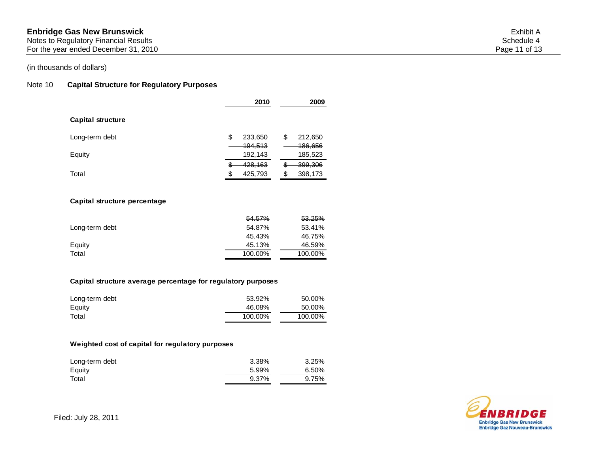For the year ended December 31, 2010 **Page 11** of 13

## Note 10 **Capital Structure for Regulatory Purposes**

|                   |         | 2010                          |          | 2009                          |
|-------------------|---------|-------------------------------|----------|-------------------------------|
| Capital structure |         |                               |          |                               |
| Long-term debt    | \$      | 233,650<br><del>194,513</del> | \$       | 212,650<br>186,656            |
| Equity            |         | 192,143                       |          | 185,523                       |
| Total             | S<br>\$ | 428,163<br>425,793            | ٦D<br>\$ | <del>399,306</del><br>398,173 |

#### **Capital structure percentage**

|                | 54.57%  | 53.25%  |
|----------------|---------|---------|
| Long-term debt | 54.87%  | 53.41%  |
|                | 45.43%  | 46.75%  |
| Equity         | 45.13%  | 46.59%  |
| Total          | 100.00% | 100.00% |

#### **Capital structure average percentage for regulatory purposes**

| Long-term debt | 53.92%  | 50.00%  |
|----------------|---------|---------|
| Equity         | 46.08%  | 50.00%  |
| Total          | 100.00% | 100.00% |

## **Weighted cost of capital for regulatory purposes**

| Long-term debt | 3.38% | 3.25% |
|----------------|-------|-------|
| Equity         | 5.99% | 6.50% |
| Total          | 9.37% | 9.75% |

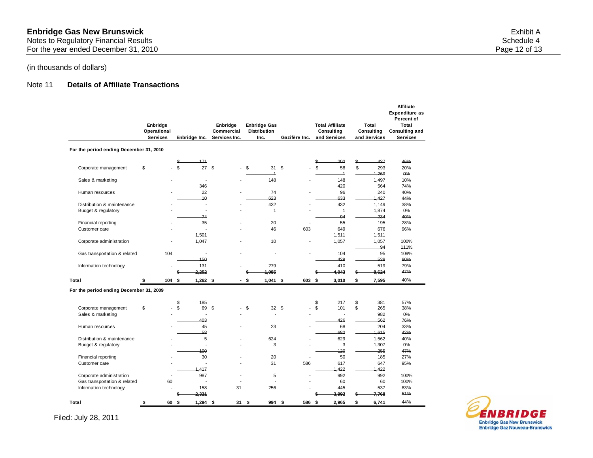For the year ended December 31, 2010 **Page 12 of 13** 

## (in thousands of dollars)

## Note 11 **Details of Affiliate Transactions**

|                                         | Enbridge<br>Operational<br><b>Services</b> |    | Enbridge Inc.            | Enbridge<br>Commercial<br>Services Inc. |      | <b>Enbridge Gas</b><br><b>Distribution</b><br>Inc. |    | Gazifère Inc. |         | <b>Total Affiliate</b><br>Consulting<br>and Services | Total<br>Consulting<br>and Services | <b>Affiliate</b><br><b>Expenditure as</b><br>Percent of<br>Total<br>Consulting and<br><b>Services</b> |
|-----------------------------------------|--------------------------------------------|----|--------------------------|-----------------------------------------|------|----------------------------------------------------|----|---------------|---------|------------------------------------------------------|-------------------------------------|-------------------------------------------------------------------------------------------------------|
| For the period ending December 31, 2010 |                                            |    |                          |                                         |      |                                                    |    |               |         |                                                      |                                     |                                                                                                       |
|                                         |                                            |    | 171<br>\$                |                                         |      |                                                    |    |               | \$      | 202                                                  | \$<br>437                           | 46%                                                                                                   |
| Corporate management                    | \$                                         |    | \$.<br>27S               | $\overline{\phantom{a}}$                | \$   | 31                                                 | S. |               | \$      | 58<br>$\overline{\mathbf{1}}$                        | \$<br>293<br>4,269                  | 20%<br>0%                                                                                             |
| Sales & marketing                       |                                            |    | $\overline{\phantom{a}}$ |                                         |      | 148                                                |    |               |         | 148                                                  | 1,497                               | 10%                                                                                                   |
|                                         |                                            |    | 346                      |                                         |      |                                                    |    |               |         | 420                                                  | 564                                 | 74%                                                                                                   |
| Human resources                         |                                            |    | 22                       |                                         |      | 74                                                 |    |               |         | 96                                                   | 240                                 | 40%                                                                                                   |
|                                         |                                            |    | 10                       |                                         |      | 623                                                |    |               |         | 633                                                  | 1,427                               | 44%                                                                                                   |
| Distribution & maintenance              |                                            |    | Ĭ.                       |                                         |      | 432                                                |    |               |         | 432                                                  | 1,149                               | 38%                                                                                                   |
| Budget & regulatory                     |                                            |    | Ĭ.                       |                                         |      | $\mathbf{1}$                                       |    |               |         | $\mathbf{1}$                                         | 1,874                               | 0%                                                                                                    |
|                                         |                                            |    | 74                       |                                         |      |                                                    |    |               |         | 94                                                   | 234                                 | 40%                                                                                                   |
| Financial reporting                     |                                            |    | 35                       |                                         |      | 20                                                 |    |               |         | 55                                                   | 195                                 | 28%                                                                                                   |
| Customer care                           |                                            |    |                          |                                         |      | 46                                                 |    | 603           |         | 649                                                  | 676                                 | 96%                                                                                                   |
|                                         |                                            |    | 1.501                    |                                         |      |                                                    |    |               |         | 1.511                                                | 1,511                               |                                                                                                       |
| Corporate administration                |                                            |    | 1,047                    |                                         |      | 10                                                 |    |               |         | 1,057                                                | 1,057                               | 100%                                                                                                  |
|                                         |                                            |    |                          |                                         |      |                                                    |    |               |         |                                                      | 94                                  | 111%                                                                                                  |
| Gas transportation & related            | 104                                        |    | ÷,                       |                                         |      |                                                    |    |               |         | 104                                                  | 95                                  | 109%                                                                                                  |
|                                         |                                            |    | 150<br>131               |                                         |      | 279                                                |    |               |         | 429<br>410                                           | 538<br>519                          | 80%<br>79%                                                                                            |
| Information technology                  |                                            |    | 2,252                    |                                         | \$   | 1.085                                              |    |               | \$      | 4.043                                                | \$<br>8,624                         | 47%                                                                                                   |
| Total                                   | 104<br>\$                                  |    | \$<br>$1,262$ \$         |                                         | - \$ | $1,041$ \$                                         |    | 603           | \$      | 3,010                                                | \$<br>7,595                         | 40%                                                                                                   |
|                                         |                                            |    |                          |                                         |      |                                                    |    |               |         |                                                      |                                     |                                                                                                       |
| For the period ending December 31, 2009 |                                            |    |                          |                                         |      |                                                    |    |               |         |                                                      |                                     |                                                                                                       |
|                                         |                                            |    | 185                      |                                         |      |                                                    |    |               |         | 217                                                  | \$<br>381                           | 57%                                                                                                   |
| Corporate management                    | \$                                         |    | \$<br>69                 | \$                                      | \$   | 32 <sup>5</sup>                                    |    |               | S<br>\$ | 101                                                  | \$<br>265                           | 38%                                                                                                   |
| Sales & marketing                       |                                            |    | Ĭ.                       |                                         |      |                                                    |    |               |         | ÷,                                                   | 982                                 | 0%                                                                                                    |
|                                         |                                            |    | 403                      |                                         |      |                                                    |    |               |         | 426                                                  | 562                                 | 76%                                                                                                   |
| Human resources                         |                                            |    | 45                       |                                         |      | 23                                                 |    |               |         | 68                                                   | 204                                 | 33%                                                                                                   |
|                                         |                                            |    | 58                       |                                         |      |                                                    |    |               |         | 682                                                  | 1.615                               | 42%                                                                                                   |
| Distribution & maintenance              |                                            |    | 5                        |                                         |      | 624                                                |    |               |         | 629                                                  | 1,562                               | 40%                                                                                                   |
| Budget & regulatory                     |                                            |    | l,                       |                                         |      | 3                                                  |    |               |         | 3                                                    | 1,307                               | 0%                                                                                                    |
|                                         |                                            |    | 100                      |                                         |      |                                                    |    |               |         | 120                                                  | 255                                 | 47%                                                                                                   |
| Financial reporting                     |                                            |    | 30                       |                                         |      | 20                                                 |    |               |         | 50                                                   | 185                                 | 27%                                                                                                   |
| Customer care                           |                                            |    |                          |                                         |      | 31                                                 |    | 586           |         | 617                                                  | 647                                 | 95%                                                                                                   |
|                                         |                                            |    | 1.417                    |                                         |      |                                                    |    |               |         | 1,422                                                | 1,422                               |                                                                                                       |
| Corporate administration                |                                            |    | 987                      |                                         |      | 5                                                  |    |               |         | 992                                                  | 992                                 | 100%                                                                                                  |
| Gas transportation & related            |                                            | 60 | ÷,                       |                                         |      | L,                                                 |    |               |         | 60                                                   | 60                                  | 100%                                                                                                  |
| Information technology                  |                                            |    | 158                      | 31                                      |      | 256                                                |    |               |         | 445                                                  | 537                                 | 83%                                                                                                   |
|                                         |                                            |    | 2.321                    |                                         |      |                                                    |    |               | \$      | 3.992                                                | \$<br>7,768                         | 51%                                                                                                   |
| Total                                   | \$                                         | 60 | \$<br>$1.294$ \$         | 31                                      | \$   | 994                                                | S. | 586 \$        |         | 2.965                                                | \$<br>6.741                         | 44%                                                                                                   |

Filed: July 28, 2011